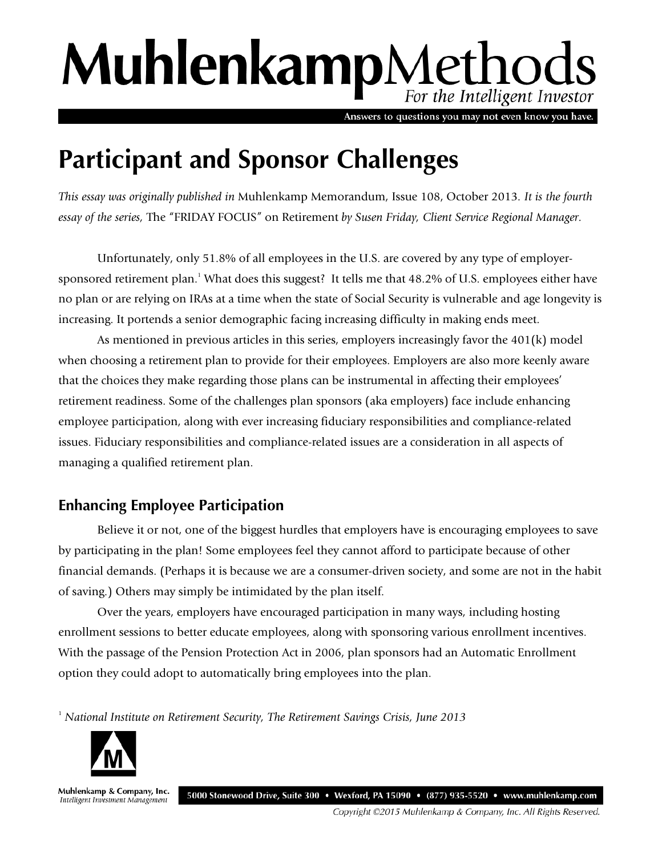# MuhlenkampMethods For the Intelligent Investor

Answers to questions you may not even know you have.

## **Participant and Sponsor Challenges**

*This essay was originally published in* Muhlenkamp Memorandum, Issue 108, October 2013*. It is the fourth essay of the series,* The "FRIDAY FOCUS" on Retirement *by Susen Friday, Client Service Regional Manager.*

Unfortunately, only 51.8% of all employees in the U.S. are covered by any type of employersponsored retirement plan.<sup>1</sup> What does this suggest? It tells me that 48.2% of U.S. employees either have no plan or are relying on IRAs at a time when the state of Social Security is vulnerable and age longevity is increasing. It portends a senior demographic facing increasing difficulty in making ends meet.

As mentioned in previous articles in this series, employers increasingly favor the 401(k) model when choosing a retirement plan to provide for their employees. Employers are also more keenly aware that the choices they make regarding those plans can be instrumental in affecting their employees' retirement readiness. Some of the challenges plan sponsors (aka employers) face include enhancing employee participation, along with ever increasing fiduciary responsibilities and compliance-related issues. Fiduciary responsibilities and compliance-related issues are a consideration in all aspects of managing a qualified retirement plan.

### **Enhancing Employee Participation**

Believe it or not, one of the biggest hurdles that employers have is encouraging employees to save by participating in the plan! Some employees feel they cannot afford to participate because of other financial demands. (Perhaps it is because we are a consumer-driven society, and some are not in the habit of saving.) Others may simply be intimidated by the plan itself.

Over the years, employers have encouraged participation in many ways, including hosting enrollment sessions to better educate employees, along with sponsoring various enrollment incentives. With the passage of the Pension Protection Act in 2006, plan sponsors had an Automatic Enrollment option they could adopt to automatically bring employees into the plan.

<sup>1</sup> *National Institute on Retirement Security, The Retirement Savings Crisis, June 2013*



Muhlenkamp & Company, Inc. 5000 Stonewood Drive, Suite 300 • Wexford, PA 15090 • (877) 935-5520 • www.muhlenkamp.com Intelligent Investment Management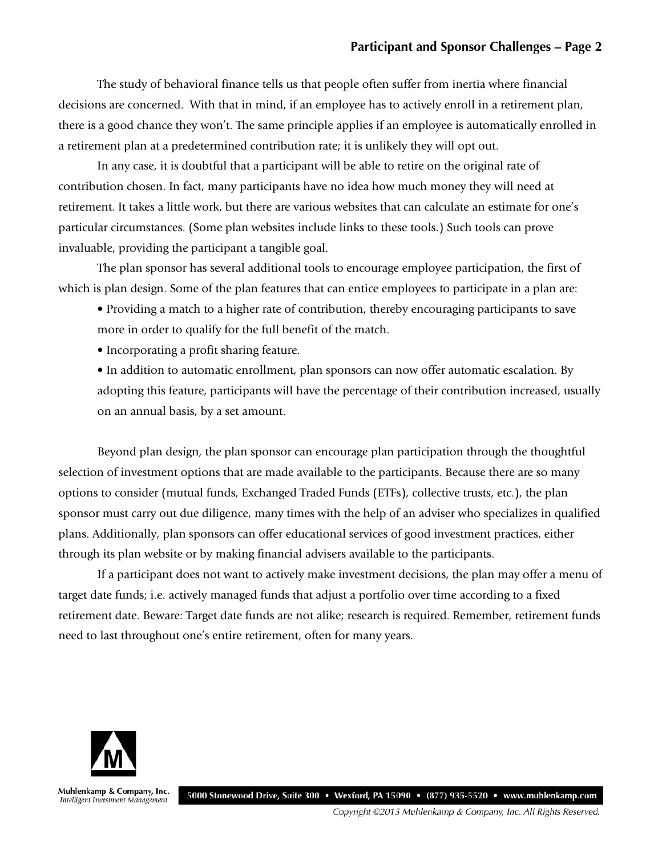The study of behavioral finance tells us that people often suffer from inertia where financial decisions are concerned. With that in mind, if an employee has to actively enroll in a retirement plan, there is a good chance they won't. The same principle applies if an employee is automatically enrolled in a retirement plan at a predetermined contribution rate; it is unlikely they will opt out.

In any case, it is doubtful that a participant will be able to retire on the original rate of contribution chosen. In fact, many participants have no idea how much money they will need at retirement. It takes a little work, but there are various websites that can calculate an estimate for one's particular circumstances. (Some plan websites include links to these tools.) Such tools can prove invaluable, providing the participant a tangible goal.

The plan sponsor has several additional tools to encourage employee participation, the first of which is plan design. Some of the plan features that can entice employees to participate in a plan are:

• Providing a match to a higher rate of contribution, thereby encouraging participants to save more in order to qualify for the full benefit of the match.

• Incorporating a profit sharing feature.

• In addition to automatic enrollment, plan sponsors can now offer automatic escalation. By adopting this feature, participants will have the percentage of their contribution increased, usually on an annual basis, by a set amount.

Beyond plan design, the plan sponsor can encourage plan participation through the thoughtful selection of investment options that are made available to the participants. Because there are so many options to consider (mutual funds, Exchanged Traded Funds (ETFs), collective trusts, etc.), the plan sponsor must carry out due diligence, many times with the help of an adviser who specializes in qualified plans. Additionally, plan sponsors can offer educational services of good investment practices, either through its plan website or by making financial advisers available to the participants.

If a participant does not want to actively make investment decisions, the plan may offer a menu of target date funds; i.e. actively managed funds that adjust a portfolio over time according to a fixed retirement date. Beware: Target date funds are not alike; research is required. Remember, retirement funds need to last throughout one's entire retirement, often for many years.



Muhlenkamp & Company, Inc. Intelligent Investment Management

5000 Stonewood Drive, Suite 300 • Wexford, PA 15090 • (877) 935-5520 • www.muhlenkamp.com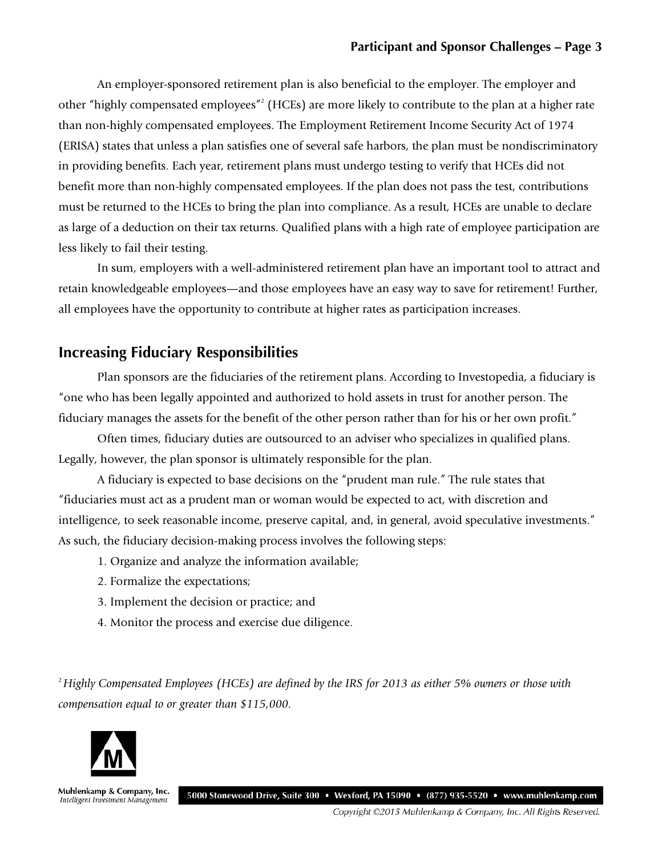An employer-sponsored retirement plan is also beneficial to the employer. The employer and other "highly compensated employees"2 (HCEs) are more likely to contribute to the plan at a higher rate than non-highly compensated employees. The Employment Retirement Income Security Act of 1974 (ERISA) states that unless a plan satisfies one of several safe harbors, the plan must be nondiscriminatory in providing benefits. Each year, retirement plans must undergo testing to verify that HCEs did not benefit more than non-highly compensated employees. If the plan does not pass the test, contributions must be returned to the HCEs to bring the plan into compliance. As a result, HCEs are unable to declare as large of a deduction on their tax returns. Qualified plans with a high rate of employee participation are less likely to fail their testing.

In sum, employers with a well-administered retirement plan have an important tool to attract and retain knowledgeable employees—and those employees have an easy way to save for retirement! Further, all employees have the opportunity to contribute at higher rates as participation increases.

#### **Increasing Fiduciary Responsibilities**

Plan sponsors are the fiduciaries of the retirement plans. According to Investopedia, a fiduciary is "one who has been legally appointed and authorized to hold assets in trust for another person. The fiduciary manages the assets for the benefit of the other person rather than for his or her own profit."

Often times, fiduciary duties are outsourced to an adviser who specializes in qualified plans. Legally, however, the plan sponsor is ultimately responsible for the plan.

A fiduciary is expected to base decisions on the "prudent man rule." The rule states that "fiduciaries must act as a prudent man or woman would be expected to act, with discretion and intelligence, to seek reasonable income, preserve capital, and, in general, avoid speculative investments." As such, the fiduciary decision-making process involves the following steps:

- 1. Organize and analyze the information available;
- 2. Formalize the expectations;
- 3. Implement the decision or practice; and
- 4. Monitor the process and exercise due diligence.

<sup>2</sup>*Highly Compensated Employees (HCEs) are defined by the IRS for 2013 as either 5% owners or those with compensation equal to or greater than \$115,000.*



Muhlenkamp & Company, Inc. Intelligent Investment Management

5000 Stonewood Drive, Suite 300 • Wexford, PA 15090 • (877) 935-5520 • www.muhlenkamp.com